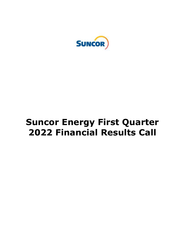

# **Suncor Energy First Quarter 2022 Financial Results Call**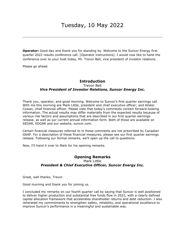**Operator:** Good day and thank you for standing by. Welcome to the Suncor Energy first quarter 2022 results conference call. [Operator instructions]. I would now like to hand the conference over to your host today, Mr. Trevor Bell, vice president of investor relations.

Please go ahead.

## Trevor Bell  *Vice President of Investor Relations, Suncor Energy Inc.*  **Introduction**

 Thank you, operator, and good morning. Welcome to Suncor's first quarter earnings call. With me this morning are Mark Little, president and chief executive officer; and Alister Cowan, chief financial officer. Please note that today's comments contain forward-looking information. The actual results may differ materially from the expected results because of various risk factors and assumptions that are described in our first quarter earnings release, as well as our current annual information form. Both of those are available on SEDAR, EDGAR and our website, [suncor.com](https://suncor.com).

 Certain financial measures referred to in these comments are not prescribed by Canadian GAAP. For a description of these financial measures, please see our first quarter earnings release. Following our formal remarks, we'll open up the call to questions.

Now, I'll hand it over to Mark for his opening remarks.

## **Opening Remarks**  Mark Little  *President & Chief Executive Officer, Suncor Energy Inc.*

Great, well thanks, Trevor.

Good morning and thank you for joining us.

 I concluded my remarks on our fourth quarter call by saying that Suncor is well positioned to deliver higher production and substantial free funds flow in 2022, with a clearly defined capital allocation framework that accelerates shareholder returns and debt reduction. I also reiterated my commitments to strengthen safety, reliability, and operational excellence to improve Suncor's performance in a meaningful and sustainable way.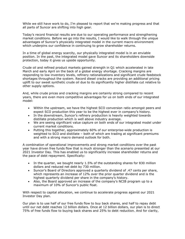While we still have work to do, I'm pleased to report that we're making progress and that all parts of Suncor are shifting into high gear.

 Today's record financial results are due to our operating performance and strengthening market conditions. Before we go into the results, I would like to walk through the unique advantages of Suncor's physically integrated model in the current macro environment which underpins our confidence in continuing to grow shareholder returns.

 In a time of global energy scarcity, our physically integrated model is in an enviable position. In the past, the integrated model gave Suncor and its shareholders downside protection, today it gives us upside opportunity.

 Crude oil and refined product markets gained strength in Q1 which accelerated in late March and early April on the back of a global energy shortage. Cracking margins are responding to low inventory levels, refinery rationalizations and significant crude feedstock shortages throughout the system. Record diesel cracks are providing an additional pricing uplift to our sweet synthetic crude oil due to its significantly higher distillate cut relative to other supply options.

 And, while crude prices and cracking margins are certainly strong compared to recent years, there are even more competitive advantages for us on both ends of our integrated model:

- Within the upstream, we have the highest SCO conversion ratio amongst peers and expect SCO production this year to be the highest ever in company's history.
- In the downstream, Suncor's refinery production is heavily weighted towards distillate production which is well above industry average.
- We are seeing significant value capture on both ends of our integrated model under current market conditions.
- Putting this together, approximately 60% of our enterprise-wide production is weighted to SCO and distillate – both of which are trading at significant premiums and with a strong macro demand outlook for both.

 A combination of operational improvements and strong market conditions over the past year have driven free funds flow that is much stronger than the scenario presented at our 2021 Investor Day. This has enabled us to significantly increase shareholder returns and the pace of debt repayment. Specifically:

- In the quarter, we bought nearly 1.5% of the outstanding shares for 830 million dollars and reduced net debt by 730 million.
- Suncor's Board of Directors approved a quarterly dividend of .47 cents per share, which represents an increase of 12% over the prior quarter dividend and is the highest quarterly dividend per share in the company's history.
- Also, the Board approved an increase of the company's NCIB program up to a maximum of 10% of Suncor's public float.

 With respect to capital allocation, we continue to accelerate progress against our 2021 Investor Day plan.

 Our plan is to use half of our free funds flow to buy back shares, and half to repay debt until our net debt reaches 12 billion dollars. Once at 12 billion dollars, our plan is to direct 75% of free funds flow to buying back shares and 25% to debt reduction. And for clarity,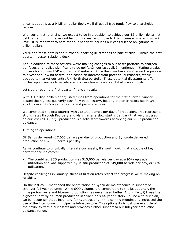once net debt is at a 9-billion-dollar floor, we'll direct all free funds flow to shareholder returns.

 With current strip pricing, we expect to be in a position to achieve our 12-billion-dollar net debt target during the second half of this year and move to this increased share buy-back level. It is important to note that our net debt includes our capital lease obligations of 2.8 billion dollars.

 You'll find these details and further supporting illustrations as part of slide 6 within the first quarter investor relations deck.

 And in addition to these actions, we're making changes to our asset portfolio to sharpen our focus and realize significant value uplift. On our last call, I mentioned initiating a sales process for Norway E&P and part of Rosebank. Since then, we have also begun the process to divest of our wind assets, and based on interest from potential purchasers, we've decided to market our entire UK North Sea portfolio. These potential divestments offer further opportunities to accelerate progress towards our capital allocation goals.

Let's go through the first quarter financial results.

 With 4.1 billion dollars of adjusted funds from operations for the first quarter, Suncor posted the highest quarterly cash flow in its history, beating the prior record set in Q4 2021 by over 30% on an absolute and per share basis.

 We completed the first quarter with 766,000 barrels per day of production. This represents strong rates through February and March after a slow start in January that we discussed on our last call. Our Q1 production is a solid start towards achieving our 2022 production quidance.

guidance.<br>Turning to operations.

 Oil Sands delivered 417,000 barrels per day of production and Syncrude delivered production of 182,000 barrels per day.

 As we continue to physically integrate our assets, it's worth looking at a couple of key performance indicators:

• The combined SCO production was 515,000 barrels per day at a 96% upgrader utilization and was supported by in-situ production of 249,000 barrels per day, or 98% utilization.

 utilization. Despite challenges in January, these utilization rates reflect the progress we're making on reliability.

reliability.<br>On the last call I mentioned the optimization of Syncrude maintenance in support of stronger full year volumes. While SCO volumes are comparable to the last quarter, the mine performance and bitumen production has never been better. And in fact, Q1 was the highest quarterly bitumen production in Syncrude's 44-year history. In line with our plan, we built sour synthetic inventory for hydrotreating in the coming months and increased the use of the interconnecting pipeline infrastructure. This optionality is just one example of the flexibility within our assets and provides further support to our full year production guidance range.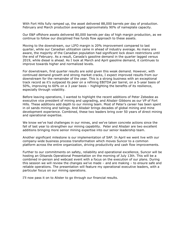With Fort Hills fully ramped up, the asset delivered 88,000 barrels per day of production. February and March production averaged approximately 90% of nameplate capacity.

 Our E&P offshore assets delivered 80,000 barrels per day of high margin production, as we continue to follow our disciplined free funds flow approach to these assets.

 Moving to the downstream, our LIFO margin is 20% improvement compared to last quarter, while our Canadian utilization came in ahead of industry average. As many are aware, the majority of the Canadian population had significant lock down restrictions until the end of February. As a result, Canada's gasoline demand in the quarter lagged versus 2019, while diesel is ahead. As I look at March and April gasoline demand, it continues to improve towards higher and normalized levels.

 For downstream, first quarter results are solid given this weak demand. However, with continued demand growth and strong market cracks, I expect improved results from our downstream for the remainder of the year. This is a strong business with an exceptional track record as it's outpaced its peer on a refining EBITDA per barrel, on a 5-year basis of 50%, improving to 60% on a 3 year basis – highlighting the benefits of its resilience, especially through volatility.

 Before leaving operations, I wanted to highlight the recent additions of Peter Zebedee as executive vice president of mining and upgrading, and Alisdair Gibbons as our VP of Fort Hills. These additions add depth to our mining team. Most of Peter's career has been spent in oil sands mining and tailings. And Alisdair brings decades of global mining and mine development experience. Combined, these two leaders bring over 50 years of direct mining and operational expertise.

 We know we've had challenges in our mines, and we've taken concrete actions since the fall of last year to strengthen our mining capability. Peter and Alisdair are two excellent additions bringing more senior mining expertise into our senior leadership team.

 Another significant milestone is our implementation of SAP. In April we went live with our company-wide business process transformation which moves Suncor to a common platform across the entire organization, driving productivity and cash flow improvements.

 Further to our commitments on safety, reliability and operational excellence, Suncor will be hosting an Oilsands Operational Presentation on the morning of July 13th. This will be a combined in-person and webcast event with a focus on the execution of our plans. During this session we will review the changes we've made – and are making – to ensure safe and reliable operations. The presentation will feature my operational executive leaders, with a particular focus on our mining operations.

I'll now pass it on to Alister to go through our financial results.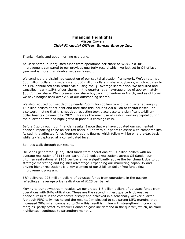## Alister Cowan  *Chief Financial Officer, Suncor Energy Inc.*  **Financial Highlights**

Thanks, Mark, and good morning everyone,

 As Mark noted, our adjusted funds from operations per share of \$2.86 is a 30% improvement compared to our previous quarterly record which we just set in Q4 of last year and is more than double last year's result.

 We continue the disciplined execution of our capital allocation framework. We've returned 600 million dollars in dividends and 830 million dollars in share buybacks, which equates to an 11% annualized cash return yield using the Q1 average share price. We acquired and cancelled nearly 1.5% of our shares in the quarter, at an average price of approximately \$38 Cdn per share. We increased our share buyback momentum in March, and as of today we have bought back over 2% of our outstanding shares.

 We also reduced our net debt by nearly 730 million dollars to end the quarter at roughly 15 billion dollars of net debt and note that this includes 2.8 billion of capital leases. It's also worth noting that this net debt reduction took place despite a significant 1-billion- dollar final tax payment for 2021. This was the main use of cash in working capital during the quarter as we had highlighted in previous earnings calls.

 Before I go through our financial results, I note that we have updated our segmented financial reporting to be on pre-tax basis in-line with our peers to assist with comparability. As such the adjusted funds from operations figures which follow will be on a pre-tax basis, while tax is captured at a consolidated level.

So, let's walk through our results.

 Oil Sands generated Q1 adjusted funds from operations of 3.4 billion dollars with an average realization of \$115 per barrel. As I look at realizations across Oil Sands, our bitumen realizations at \$103 per barrel were significantly above the benchmark due to our strategic marketing and logistics advantage. Expanding our marketing capability and driving higher realizations is a key element of our 2 billion dollar free funds flow improvement program.

 E&P delivered 725 million dollars of adjusted funds from operations in the quarter reflecting an average price realization of \$123 per barrel.

 Moving to our downstream results, we generated 1.6 billion dollars of adjusted funds from operations with 94% utilization. These are the second highest quarterly downstream financial results in the company's history and achieved in a seasonally weaker quarter. Although FIFO tailwinds helped the results, I'm pleased to see strong LIFO margins that increased 20% when compared to Q4 – this result is in line with strengthening cracking margins, partly offset by weaker Canadian gasoline demand in the quarter, which, as Mark highlighted, continues to strengthen monthly.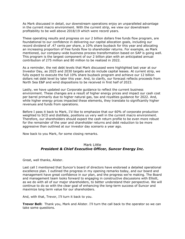As Mark discussed in detail, our downstream operations enjoy an unparalleled advantage in the current macro environment. With the current strip, we view our downstream profitability to be well above 2018/19 which were record years.

 These operating results and progress on our 2 billion dollars free funds flow program, are foundational to our confidence in delivering our capital allocation goals, including our record dividend of .47 cents per share, a 10% share buyback for this year and allocating an increasing proportion of free funds flow to shareholder returns. For example, as Mark mentioned, our company-wide business process transformation based on SAP is going well. This program is the largest component of our 2 billion plan with an anticipated annual contribution of 275 million and 80 million to be realized in 2022.

 As a reminder, the net debt levels that Mark discussed were highlighted last year at our Investor Day, as 2025 and 2030 targets and do include capital leases. At current strip, we fully expect to execute the full 10% share buyback program and achieve our 12 billion dollars net debt level by later this year. And, to clarify, our forecast reflects proceeds from North Sea E&P and wind dispositions to be received in first half of 2023.

 Lastly, we have updated our Corporate guidance to reflect the current business environment. These changes are a result of higher energy prices and impact our cash cost per barrel primarily due to higher natural gas, tax and royalties guidance for 2022. And, while higher energy prices impacted these elements, they translate to significantly higher revenues and funds from operations.

 Before I pass it back to Mark, I'd like to emphasize that our 60% of corporate production weighted to SCO and distillate, positions us very well in the current macro environment. Therefore, our shareholders should expect the cash return profile to be even more robust for the remainder of the year and shareholder returns and debt reduction to be more aggressive than outlined at our investor day scenario a year ago.

Now back to you Mark, for some closing remarks.

## Mark Little  *President & Chief Executive Officer, Suncor Energy Inc.*

Great, well thanks, Alister.

 Last call I mentioned that Suncor's board of directors have endorsed a detailed operational excellence plan. I outlined the progress in my opening remarks today, and our board and management have great confidence in our plan, and the progress we're making. The Board and management team looks forward to engaging in constructive discussions with Elliott, as we do with all of our major shareholders, to better understand their perspective. We will continue to do so with the clear goal of enhancing the long-term success of Suncor and maximize long term value for our shareholders.

And, with that, Trevor, I'll turn it back to you.

 **Trevor Bell:** Thank you, Mark and Alister. I'll turn the call back to the operator so we can take some questions.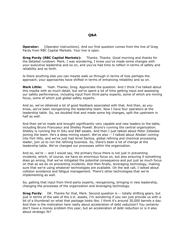## **Q&A**

Operator: Pardy from RBC Capital Markets. Your line is open. [Operator instructions]. And our first question comes from the line of Greg

**Greg Pardy (RBC Capital Markets):**  the detailed rundown. Mark, I was wondering, I know you've made some changes with your executive leadership and so on, and you've had time to reflect in terms of safety and reliability and so forth. **Greg Pardy (RBC Capital Markets):** Thanks. Thanks. Good morning and thanks for

 Is there anything else you can maybe walk us through in terms of how perhaps the approach, your approaches have shifted in terms of enhancing reliability and so on.

**Mark Little:**  this maybe with as much detail, but we've spent a lot of time getting input and assessing our safety performance, including input from third-party experts, some of which are mining focus, some of which just global safety experts. Yeah. Thanks, Greg. Appreciate the question. And I think I've talked about

 And so, we've obtained a lot of good feedback associated with that. And then, as you know, we've been reorganizing the leadership team. Now I have four operators at the leadership table. So, we doubled that and made some big changes, split the upstream in half as well.

 And then we've made and brought significantly very capable and new leaders to the table, including Bruno Francoeur and Shelley Powell. Bruno's running the central organization. Shelley is running the In Situ and E&P assets. And then I just talked about Peter Zebedee joining the team. He's a deep mining expert. We've also -- I talked about Alisdair coming into Fort Hills, and we've just had Arnel Santos, global refining and chemical processing leader, join us to run the refining business. So, there's been a lot of change at the leadership table. We've changed our processes within the organization.

 And so, we're -- and I would say, the primary focus there is not just in preventing incidents, which, of course, we have an enormous focus on, but also ensuring if something does go wrong, that we've mitigated the potential consequence and put just as much focus on that as we do on preventing incidents. And then finally, leveraging technology, making sure that we're using whatever technologies are available. On the last call, I talked about collision avoidance and fatigue management. There's other technologies that we're implementing as well.

 So, getting that input from third-party experts, reorganizing, bringing in new leadership, changing the processes of the organization and leveraging technology.

 **Greg Pardy**: OK. Thanks for that, Mark. Second question is -- totally shifting gears, but just in terms of the sale of the U.K. assets, I'm wondering if you can just provide us with a bit of a thumbnail on what that package looks like. I think it's around 30,000 barrels a day. And then is the motivation here really about acceleration of debt reduction? You certainly don't have a money problem this year, but an acceleration of debt reduction or is it also about strategic fit?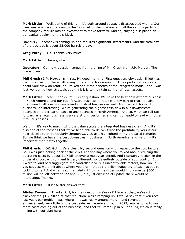**Mark Little:** Well, some of this is -- it's both around strategic fit associated with it. Our view was -- is we could narrow the focus. All of the business and all the various parts of the company require lots of investment to move forward. And so, staying disciplined on our capital deployment is critical.

 Obviously, Rosebank is coming up and requires significant investments. And the total size of the package is about 25,000 barrels a day.

**Greg Pardy:** OK. Thanks very much.

**Mark Little:** Thanks, Greg.

**Operator:** Our next question comes from the line of Phil Gresh from J.P. Morgan. The line is open.

 **Phil Gresh (J.P. Morgan):** Yes. Hi, good morning. First question, obviously, Elliott has their proposal out there with many different factors around it. I was particularly curious about your view on retail. You talked about the benefits of the integrated model, and I was just wondering how strategic you think it is to maintain control of retail assets.

Mark Little: in North America, and our rack forward business in retail is a key part of that. It's also intertwined with our wholesale and industrial business as well. And the rack forward business, it's interesting. We're generating the highest cash flow in our downstream business on a per barrel basis of any business in North America. And so, what we call rack forward as a retail business is a very strong performer and can go head-to-head with other Yeah. Thanks, Phil. Great question. We have the best downstream business retail businesses.

 We think it's key to maximizing the value across the integrated business chain. And it's also one of the reasons that we've been able to deliver twice the profitability versus our next closest peer, particularly through COVID, as I highlighted in my prepared remarks. So, we think we have the best downstream business in North America, and we think it's important that it stay together.

**Phil Gresh:** OK. Got it. Very clear. My second question with respect to the cost factors. So, I was just looking back at the 2021 Analyst Day where you talked about reducing the operating costs by about \$1.7 billion over a multiyear period. And I certainly recognize the underlying cost environment is very different, so it's entirely outside of your control. But if I were to kind of disaggregate the controllable versus uncontrollable factors, how would you suggest we think about where you are in that \$1.7 billion trajectory of savings you're looking to get? And what is still remaining? I think the slides would imply maybe \$500 million will be left between '22 and '25, but just any kind of update there would be interesting. Thanks.

 **Mark Little:** I'll let Alister answer that.

 **Alister Cowan:** Thanks, Phil, for the question. We're -- if I look at that, we're still on track for the \$1.7 billion of cost reduction, we're ramping up. I would say that if you recall last year, our problem was where -- it was really around margin and revenue enhancement, very little on the cost side. As we move through 2022, you're going to see more costs coming out of the business, and that will ramp up in '23 and '24, which is really in line with our plan here.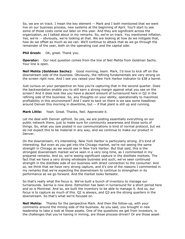So, we are on track. I mean the key element -- Mark and I both mentioned that we went live on our business process, new systems at the beginning of April. You'll start to see some of those costs come out later on this year. And they are significant across the organization, as I talked about in my remarks. So, we're on track. You mentioned inflation. Yes, we're -- obviously, we're looking at that. We are looking at how do we mitigate that, how do we offset as much as we can. We'll continue to attack that as we go through the remainder of the year, both on the operating cost and the capital side.

#### **Phil Gresh:** OK, great. Thank you.

**Operator:** Our next question comes from the line of Neil Mehta from Goldman Sachs. Your line is open.

 **Neil Mehta (Goldman Sachs):** Good morning, team. Mark, I'd love to kick off on the downstream side of the business. Obviously, the refining fundamentals are very strong on the screen right now. And I see you raised your New York Harbor indicator to \$38 a barrel.

 Just curious on your perspective on how you're capturing that in the second quarter. Does the backwardation enable you to still earn a strong margin against what you see on the screen? And it does look like you have a decent amount of turnaround here in Q2 in the refining side of the business. So, any thoughts on your ability, operationally to maximize profitability in this environment? And I want to tack on there is we saw some headlines around Denver this morning in downtime, but -- if that plant is still up and running.

**Mark Little:** Yeah. Great. Thanks, Neil. Appreciate it.

 Let me deal with Denver upfront. So yes, we are posting essentially everything on our public network there, just to make sure for community awareness and those sorts of things. So, what you saw posted in our communications is kind of normal protocol, but we do not expect this to be material in any way, and we continue to make our product in Denver.

Denver.<br>On the downstream, it's interesting. New York Harbor is particularly strong. It's kind of interesting. But even as you get into the Chicago market, we're not seeing the same strength in Chicago as we would see in New York Harbor. But that said, this is the strongest downstream market we've seen in a very long time, as I commented in my prepared remarks. And so, we're seeing significant capture in the distillate markets. The fact that we have a very strong wholesale business and such, we've seen continued strength in the distillate side of our business with direct connection to the consumer. And so, we think that we have very strong capture, and it's one of the reasons I commented in my remarks that we're expecting the downstream to continue to strengthen in its performance as we go forward. And the market looks fantastic.

 So that's really what the focus is. We've built a bunch of inventory to manage our turnarounds. Sarnia is now done. Edmonton has been in turnaround for a short period here and so is Montreal. And so, we built the inventory to be able to manage it. And so, our focus is to capture as much of this. Q2 is always, and Q3 are the strong quarters in the downstream. So that's what we're focused on.

 **Neil Mehta:** Thanks for the perspective Mark. And then the follow-up, with your comments around the mining side of the business. As you said, you brought in new leadership to take a look at those assets. One of the questions we get from investors, is the challenges that you're having in mining, are those process-driven? Or are those asset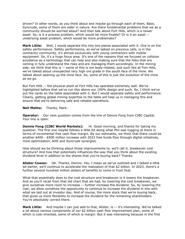driven? In other words, as you think about and maybe go through each of them, Base, Syncrude, some of them are older in nature. Are there fundamental problems that we as a community should be worried about? And then talk about Fort Hills, which is a newer asset. So, is it a process problem, which would be more fixable? Or is it an asset -- underlying asset problem, which would be more problematic?

 **Mark Little:** Well, I would separate this into two pieces associated with it. One is on the safety performance. Safety performance, as we've talked on previous calls, is in the contractor community, it's almost exclusively with young contractors with mobile equipment. So, it's a huge focus area. It's one of the reasons that we focused on collision avoidance as a technology that can help and also making sure that the folks that are coming in fully understand the risks and are managing them accordingly. In the mining side, we think that this is -- some of this is ore body-related, and such like at Fort Hills, we've talked about unexpected very high ore grade in the south face of the mine. We talked about opening up the mine face. So, some of this is just the evolution of the mine as we go.

 But Fort Hills -- the physical plant at Fort Hills has operated extremely well. We've highlighted before that we've run this above our 100% design and such. So, I think we've put the cards on the table associated with it. But I would separate safety and performance. Clearly, getting global mining expertise to the table will help us in managing this and ensure that we're delivering safe and reliable operations.

#### **Neil Mehta:** Thanks, Mark.

 **Operator:** Our next question comes from the line of Dennis Fong from CIBC Capital. Your line is open.

**Dennis Fong (CIBC World Markets):**  question. The first one maybe follows a little bit along what Phil was tugging at there in terms of incremental free cash flow margin. By our estimates, we think that there could be another \$400 - \$500 million increase with 2023 free funds flow through digital initiatives, mine optimization, AHS and Syncrude synergies. Hi. Good morning, and thanks for taking my

 How should we be thinking about those improvements to, we'll call it, breakeven cost structure? And how that potentially influences the way that you think about the existing dividend level in addition to the shares that you're buying back? Thanks.

 **Alister Cowan:** OK. Thanks, Dennis. Yes, I mean as we've outlined and I talked a little bit earlier, we'll continue to accelerate the realization of that \$2 billion. In 2023, there's a further several hundred million dollars of benefits to come in from that.

 What that essentially does to the cost structure and breakeven is it lowers the breakeven. And as you'll recall from that old chart that we had, by lowering the cost breakeven, we give ourselves more room to increase -- further increase the dividend. So, by lowering the cost, we allow ourselves the opportunity to continue to increase the dividend in line with what we laid out at investor day. And of course, the more stock that we're buying back, that gives us more flexibility to increase the dividend for the remaining shareholders. You're absolutely correct there.

 **Mark Little:** And maybe I can just add to that, Alister, is -- it's interesting. We've talked a lot about various components of our \$2 billion cash flow improvement plan, some of which is cost-oriented, some of which is margin. But it was interesting because in the first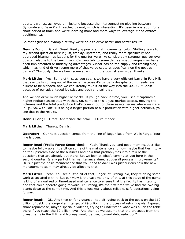quarter, we just achieved a milestone because the interconnecting pipeline between Syncrude and Base Plant reached payout, which is interesting. It's been in operation for a short period of time, and we're learning more and more ways to leverage it and extract additional cash.

So that's just one example of why we're able to drive better and better results.

 **Dennis Fong:** Great. Great. Really appreciate that incremental color. Shifting gears to my second question here is just, frankly, upstream, and really more specifically non- upgraded bitumen realizations for the quarter were like considerably stronger quarter over quarter relative to the benchmark. Can you talk to some degree what changes may have been implemented or underlying advantages Suncor has on the supply and trading side, which has kind of driven some more of that value capture, specifically on the upstream barrels? Obviously, there's been some strength in the downstream side. Thanks.

 **Mark Little:** Yes. Some of this, as you see, is we have a very efficient barrel in Fort Hills that's actually coming out of the mine. Because it's partially deasphalted, it needs less diluent to be blended, and we can literally take it all the way into the U.S. Gulf Coast because of our advantaged logistics and such and sell that.

 And we can drive much higher netbacks. If you go back in time, you'll see it captures a higher netback associated with that. So, some of this is just market access, moving the volumes and the total production that's coming out of these assets versus where we were in Q4. So, with Fort Hills being a larger portion of our production with higher netbacks, you see that in the results.

**Dennis Fong:** Great. Appreciate the color. I'll turn it back.

**Mark Little:** Thanks, Dennis.

 **Operator:** Our next question comes from the line of Roger Read from Wells Fargo. Your line is open.

 **Roger Read (Wells Fargo Securities):** Yeah. Thank you, and good morning. Just like to maybe follow up a little bit on some of the maintenance and how maybe that ties into -- on the upstream side of the business and how that probably ties into a few of the questions that are already out there. So, we look at what's coming at you here in the second quarter. Is any part of this maintenance aimed at overall process improvements? Or is it just the basic maintenance that you need to do? I was just curious how the new management team may already be affecting that.

**Mark Little:**  work associated with it. But our view is the vast majority of this, at this stage of the game is kind of annualized or time-based maintenance to ensure that the facility has integrity and that could operate going forward. At Firebag, it's the first time we've had the two big plants down at the same time. And this is just really about reliable, safe operations going Yeah. You see a little bit of that, Roger, at Firebag. So, they're doing some forward.

**Roger Read:** OK. And then shifting gears a little bit, going back to the goals on the \$12 billion of debt, the longer-term target of \$9 billion in the process of returning via, I guess, share repurchase, maybe special dividends, trying to understand what was all on the table there if you reach the \$9 billion level. And then do we assume that the proceeds from the divestments in the U.K. and Norway would be used toward debt reduction?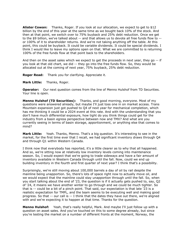**Alister Cowan:**  billion by the end of this year at the same time as we bought back 10% of the stock. And then at that point, we switch over to 75% buyback and 25% debt reduction. Once we get to the \$9 billion, we've talked about -- and that allows us to devote all free funds flow to -- or 100% of it to shareholder returns. And we're not taking anything off the table. At this point, this could be buyback. It could be variable dividends. It could be special dividends. I think I would like to leave my options open on that. What we are committed to is returning 100% of the free funds flow at that point back to the shareholders. Thanks, Roger. If you look at our allocation, we expect to get to \$12

 And then on the asset sales which we expect to get the proceeds in next year, they go -- if you look at that old chart, we did -- they go into the free funds flow. So, they would be allocated out at the coming of next year, 75% buyback, 25% debt reduction.

**Roger Read:** Thank you for clarifying. Appreciate it.

**Mark Little:** Thanks, Roger.

**Operator:** Our next question comes from the line of Menno Hulshof from TD Securities. Your line is open.

**Menno Hulshof (TD Securities):** Thanks, and good morning, everyone. Most of my questions were answered already, but maybe I'll just toss one in on market access. Trans Mountain expansion just got pushed to Q4 of next year for mechanical completion, which has me thinking it could be a 2024 event at this rate. And with the understanding that you don't have much differential exposure, how tight do you think things could get for the industry from a basin egress perspective between now and TMX? And what are you currently seeing in terms of basin storage, apportionment, or anything else that comes to mind?

**Mark Little:**  market, for the first time ever that I recall, we had significant inventory draws through Q4 and through Q1 within Western Canada. **Mark Little:** Yeah. Thanks, Menno. That's a big question. It's interesting to see in the

 I think now that everybody has reported, it's a little clearer as to why that all happened. And so, we're sitting now at relatively low inventory levels coming into maintenance season. So, I would expect that we're going to trade sideways and have a fair amount of inventory available in Western Canada through until the fall. Now, could we end up building inventory in the fourth and first quarter of next year? I think that's a possibility.

 Surprisingly, we're still moving about 100,000 barrels a day of oil by rail despite the mainline being unapportion. So, there's lots of space right now to actually move oil, and we would expect that the mainline could stay unapportion through until the fall. So, when you start talking about the end of '23, the question is if it actually gets pushed to, say, Q2 of '24, it means we have another winter to go through and we could be much tighter. So that is -- could be a bit of a pinch point. That said, our expectation is that late '23 is a realistic expectation for TMPL, and the team seems to be executing well and making good progress. So that -- our call is -- I think that the dates they have out there, we're aligned with and we're expecting it to happen at that time. Thanks for the question.

 **Menno Hulshof:** Yeah, that's really helpful, Mark. And maybe I'll just follow up with a question on asset sales. And you've touched on this to some degree already, but since you're testing the market on a number of different fronts at the moment, Norway, the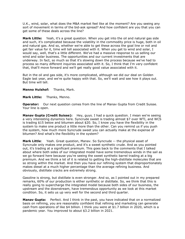U.K., wind, solar, what does the M&A market feel like at the moment? Are you seeing any sort of movement in terms of the bid-ask spread? And how confident are you that you can get some of these deals across the line?

**Mark Little:**  and such, it's complicated because the volatility in the commodity price is huge, both in oil and natural gas. And so, whether we're able to get these across the goal line or not and get fair value for it, time will tell associated with it. When you get to wind and solar, I would say, well, that's a little different. We've had a massive response to us selling our wind and solar business. The opportunities and our current investments that are underway. In fact, so much so that it's slowing down the process because we've had to process so many different inquiries associated with it. So, I think that I'm very confident that, that'll move forward and we'll get really good value associated with it. Yeah, it's a great question. When you get into the oil and natural gas side

 But in the oil and gas side, it's more complicated, although we did our deal on Golden Eagle last year, and we're quite happy with that. So, we'll wait and see how it plays out. But time will tell.

#### **Menno Hulshof:** Thanks, Mark.

**Mark Little:** Thanks, Menno.

 **Operator:** Our next question comes from the line of Manav Gupta from Credit Suisse. Your line is open.

 **Manav Gupta (Credit Suisse):** Hey, guys. I had a quick question. I mean we're seeing a very interesting dynamics here. Syncrude sweet is trading almost \$7 over WTI, and WCS is trading \$15 below and bitumen about \$20. So, I know you have the flexibility in the system to make one product a little more than the other. Can you remind us if you push the system, how much more Syncrude sweet you can actually make at the expense of bitumen? And what's the flexibility in the system?

**Mark Little:**  Syncrude only makes one product, and it's a sweet synthetic crude. And as you pointed out, it's trading at a significant premium. This goes back to the comments that I talked about where both sides of our integrated model have some tremendous winds in the sail as we go forward here because you're seeing the sweet synthetic barrel trading at a big premium. And we think a lot of it is related to getting the high-distillate molecules that are so strong within the market. And then you have our refining system that disproportionately makes diesel at a much higher percentage than the average refining business. And obviously, distillate cracks are extremely strong. Yeah. Great question, Manav. So Syncrude -- the physical asset of

 Gasoline is strong, but distillate is even stronger. And so, as I pointed out in my prepared remarks, 60% of our production is either synthetic or distillate. So, we think that this is really going to supercharge the integrated model because both sides of our business, the upstream and the downstream, have tremendous opportunity as we look at this market condition. So, it sets us up very well for the second and third quarter.

 **Manav Gupta:** Perfect. And I think in the past, you have indicated that on a normalized basis on refining, you are reasonably confident that refining and marketing can generate cash from operations of like \$4 billion. I think you were at \$1.7 billion in 2020, which is a pandemic year. You improved to about \$3.2 billion in 2021.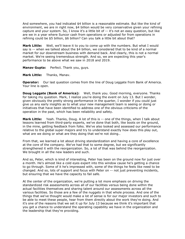And somewhere, you had indicated \$4 billion is a reasonable estimate. But like the kind of environment, we are in right now, \$4 billion would be very conservative given your refining capture and your system. So, I know it's a little bit of -- it's not an easy question, but like are we in a year where Suncor cash from operations or adjusted for from operations in refining could be \$5 billion, \$6 billion? Can you talk a little bit about that?

 **Mark Little:** Well, we'll leave it to you to come up with the numbers. But what I would say is -- when we talked about the \$4 billion, we considered that to be kind of a normal market for our downstream business with demand back. And clearly, this is not a normal market. We're seeing tremendous strength. And so, we are expecting this year's performance to be above what we saw in 2018 and 2019.

**Manav Gupta:** Perfect. Thank you, guys.

**Mark Little:** Thanks, Manav.

**Operator:** Our last question comes from the line of Doug Leggate from Bank of America. Your line is open.

**Doug Leggate (Bank of America):** Well, thank you. Good morning, everyone. Thanks for taking my question. Mark, I realize you're doing the event on July 13. But I wonder, given obviously the pretty strong performance in the quarter, I wonder if you could just give us any early insights as to what your new management team is seeing or doing or initiatives that have been identified to address one of the obvious criticisms of the operation in the past, which has been reliability and safety.

 **Mark Little:** Yeah. Thanks, Doug. A lot of this is -- one of the things, when I talk about lessons learned from third-party experts, we've done that both, like boots on the ground, in the mine, getting feedback from folks. We've also looked and assessed our performance relative to the global super majors and try to understand exactly how does this play out, what are we doing or what are they doing that we're not doing..

 From that, we learned a lot about driving standardization and having a core of excellence at the core of the company. We've had that to some degree, but we significantly strengthened it with the reorganization. So, a lot of that was behind the reorganization. We brought in all the new leaders and such.

 And so, Peter, which is kind of interesting, Peter has been on the ground now for just over a month. He's almost like a cold eyes expert into this window cause he's getting a chance to go through. Some of it he's impressed with, some of the things he feels like need to be changed. And so, lots of support and focus with Peter on -- not just preventing incidents, but ensuring that we have the capacity to fail safe.

 At the center of the organization, we're putting a lot more emphasis on driving the standardized risk assessments across all of our facilities versus being done within the actual facilities themselves and sharing talent around our assessments across all the various facilities. So those are a few of the nuggets in that whole process. And one of the things that we've thought would make a lot of sense is for our major investors and such to be able to meet these people, hear from them directly about the work they're doing. And it's one of the reasons that we set it up for July 13 because we think it's important that you get a chance to understand the operating capability we have in the organization and the leadership that they're providing.